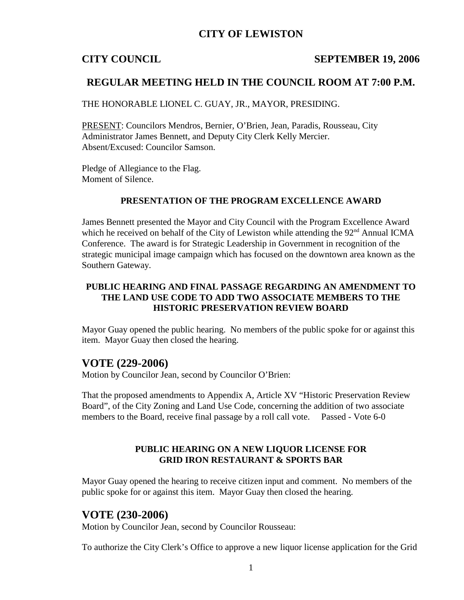## **CITY OF LEWISTON**

### **CITY COUNCIL SEPTEMBER 19, 2006**

## **REGULAR MEETING HELD IN THE COUNCIL ROOM AT 7:00 P.M.**

THE HONORABLE LIONEL C. GUAY, JR., MAYOR, PRESIDING.

PRESENT: Councilors Mendros, Bernier, O'Brien, Jean, Paradis, Rousseau, City Administrator James Bennett, and Deputy City Clerk Kelly Mercier. Absent/Excused: Councilor Samson.

Pledge of Allegiance to the Flag. Moment of Silence.

### **PRESENTATION OF THE PROGRAM EXCELLENCE AWARD**

James Bennett presented the Mayor and City Council with the Program Excellence Award which he received on behalf of the City of Lewiston while attending the  $92<sup>nd</sup>$  Annual ICMA Conference. The award is for Strategic Leadership in Government in recognition of the strategic municipal image campaign which has focused on the downtown area known as the Southern Gateway.

### **PUBLIC HEARING AND FINAL PASSAGE REGARDING AN AMENDMENT TO THE LAND USE CODE TO ADD TWO ASSOCIATE MEMBERS TO THE HISTORIC PRESERVATION REVIEW BOARD**

Mayor Guay opened the public hearing. No members of the public spoke for or against this item. Mayor Guay then closed the hearing.

## **VOTE (229-2006)**

Motion by Councilor Jean, second by Councilor O'Brien:

That the proposed amendments to Appendix A, Article XV "Historic Preservation Review Board", of the City Zoning and Land Use Code, concerning the addition of two associate members to the Board, receive final passage by a roll call vote. Passed - Vote 6-0

### **PUBLIC HEARING ON A NEW LIQUOR LICENSE FOR GRID IRON RESTAURANT & SPORTS BAR**

Mayor Guay opened the hearing to receive citizen input and comment. No members of the public spoke for or against this item. Mayor Guay then closed the hearing.

## **VOTE (230-2006)**

Motion by Councilor Jean, second by Councilor Rousseau:

To authorize the City Clerk's Office to approve a new liquor license application for the Grid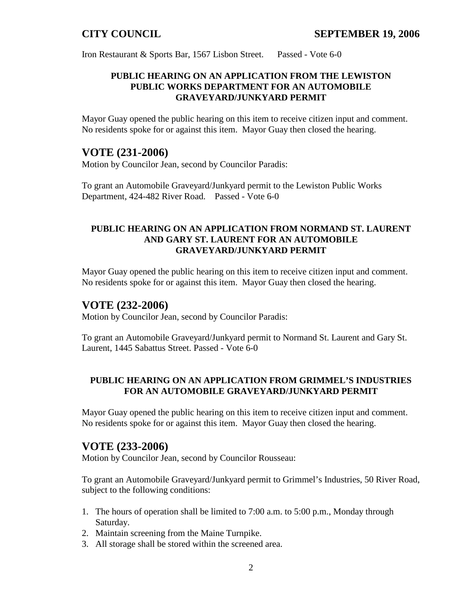Iron Restaurant & Sports Bar, 1567 Lisbon Street. Passed - Vote 6-0

## **PUBLIC HEARING ON AN APPLICATION FROM THE LEWISTON PUBLIC WORKS DEPARTMENT FOR AN AUTOMOBILE GRAVEYARD/JUNKYARD PERMIT**

Mayor Guay opened the public hearing on this item to receive citizen input and comment. No residents spoke for or against this item. Mayor Guay then closed the hearing.

## **VOTE (231-2006)**

Motion by Councilor Jean, second by Councilor Paradis:

To grant an Automobile Graveyard/Junkyard permit to the Lewiston Public Works Department, 424-482 River Road. Passed - Vote 6-0

## **PUBLIC HEARING ON AN APPLICATION FROM NORMAND ST. LAURENT AND GARY ST. LAURENT FOR AN AUTOMOBILE GRAVEYARD/JUNKYARD PERMIT**

Mayor Guay opened the public hearing on this item to receive citizen input and comment. No residents spoke for or against this item. Mayor Guay then closed the hearing.

## **VOTE (232-2006)**

Motion by Councilor Jean, second by Councilor Paradis:

To grant an Automobile Graveyard/Junkyard permit to Normand St. Laurent and Gary St. Laurent, 1445 Sabattus Street. Passed - Vote 6-0

## **PUBLIC HEARING ON AN APPLICATION FROM GRIMMEL'S INDUSTRIES FOR AN AUTOMOBILE GRAVEYARD/JUNKYARD PERMIT**

Mayor Guay opened the public hearing on this item to receive citizen input and comment. No residents spoke for or against this item. Mayor Guay then closed the hearing.

# **VOTE (233-2006)**

Motion by Councilor Jean, second by Councilor Rousseau:

To grant an Automobile Graveyard/Junkyard permit to Grimmel's Industries, 50 River Road, subject to the following conditions:

- 1. The hours of operation shall be limited to 7:00 a.m. to 5:00 p.m., Monday through Saturday.
- 2. Maintain screening from the Maine Turnpike.
- 3. All storage shall be stored within the screened area.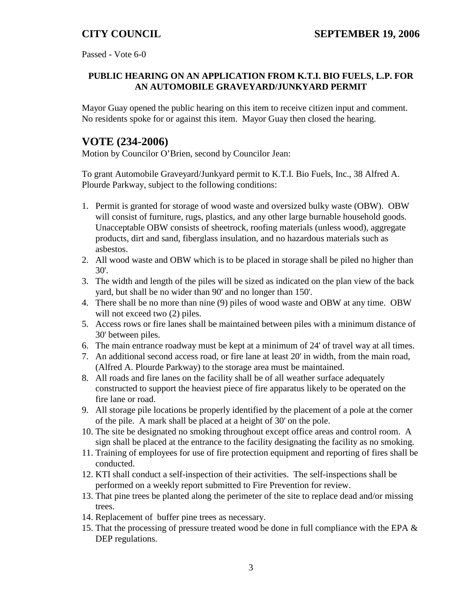Passed - Vote 6-0

## **PUBLIC HEARING ON AN APPLICATION FROM K.T.I. BIO FUELS, L.P. FOR AN AUTOMOBILE GRAVEYARD/JUNKYARD PERMIT**

Mayor Guay opened the public hearing on this item to receive citizen input and comment. No residents spoke for or against this item. Mayor Guay then closed the hearing.

# **VOTE (234-2006)**

Motion by Councilor O'Brien, second by Councilor Jean:

To grant Automobile Graveyard/Junkyard permit to K.T.I. Bio Fuels, Inc., 38 Alfred A. Plourde Parkway, subject to the following conditions:

- 1. Permit is granted for storage of wood waste and oversized bulky waste (OBW). OBW will consist of furniture, rugs, plastics, and any other large burnable household goods. Unacceptable OBW consists of sheetrock, roofing materials (unless wood), aggregate products, dirt and sand, fiberglass insulation, and no hazardous materials such as asbestos.
- 2. All wood waste and OBW which is to be placed in storage shall be piled no higher than 30'.
- 3. The width and length of the piles will be sized as indicated on the plan view of the back yard, but shall be no wider than 90' and no longer than 150'.
- 4. There shall be no more than nine (9) piles of wood waste and OBW at any time. OBW will not exceed two  $(2)$  piles.
- 5. Access rows or fire lanes shall be maintained between piles with a minimum distance of 30' between piles.
- 6. The main entrance roadway must be kept at a minimum of 24' of travel way at all times.
- 7. An additional second access road, or fire lane at least 20' in width, from the main road, (Alfred A. Plourde Parkway) to the storage area must be maintained.
- 8. All roads and fire lanes on the facility shall be of all weather surface adequately constructed to support the heaviest piece of fire apparatus likely to be operated on the fire lane or road.
- 9. All storage pile locations be properly identified by the placement of a pole at the corner of the pile. A mark shall be placed at a height of 30' on the pole.
- 10. The site be designated no smoking throughout except office areas and control room. A sign shall be placed at the entrance to the facility designating the facility as no smoking.
- 11. Training of employees for use of fire protection equipment and reporting of fires shall be conducted.
- 12. KTI shall conduct a self-inspection of their activities. The self-inspections shall be performed on a weekly report submitted to Fire Prevention for review.
- 13. That pine trees be planted along the perimeter of the site to replace dead and/or missing trees.
- 14. Replacement of buffer pine trees as necessary.
- 15. That the processing of pressure treated wood be done in full compliance with the EPA & DEP regulations.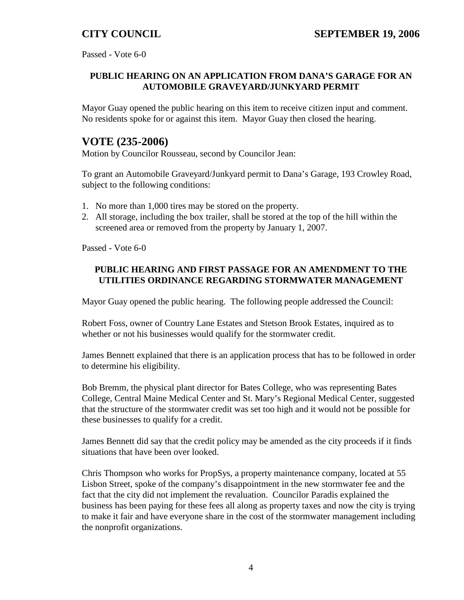Passed - Vote 6-0

## **PUBLIC HEARING ON AN APPLICATION FROM DANA'S GARAGE FOR AN AUTOMOBILE GRAVEYARD/JUNKYARD PERMIT**

Mayor Guay opened the public hearing on this item to receive citizen input and comment. No residents spoke for or against this item. Mayor Guay then closed the hearing.

# **VOTE (235-2006)**

Motion by Councilor Rousseau, second by Councilor Jean:

To grant an Automobile Graveyard/Junkyard permit to Dana's Garage, 193 Crowley Road, subject to the following conditions:

- 1. No more than 1,000 tires may be stored on the property.
- 2. All storage, including the box trailer, shall be stored at the top of the hill within the screened area or removed from the property by January 1, 2007.

Passed - Vote 6-0

### **PUBLIC HEARING AND FIRST PASSAGE FOR AN AMENDMENT TO THE UTILITIES ORDINANCE REGARDING STORMWATER MANAGEMENT**

Mayor Guay opened the public hearing. The following people addressed the Council:

Robert Foss, owner of Country Lane Estates and Stetson Brook Estates, inquired as to whether or not his businesses would qualify for the stormwater credit.

James Bennett explained that there is an application process that has to be followed in order to determine his eligibility.

Bob Bremm, the physical plant director for Bates College, who was representing Bates College, Central Maine Medical Center and St. Mary's Regional Medical Center, suggested that the structure of the stormwater credit was set too high and it would not be possible for these businesses to qualify for a credit.

James Bennett did say that the credit policy may be amended as the city proceeds if it finds situations that have been over looked.

Chris Thompson who works for PropSys, a property maintenance company, located at 55 Lisbon Street, spoke of the company's disappointment in the new stormwater fee and the fact that the city did not implement the revaluation. Councilor Paradis explained the business has been paying for these fees all along as property taxes and now the city is trying to make it fair and have everyone share in the cost of the stormwater management including the nonprofit organizations.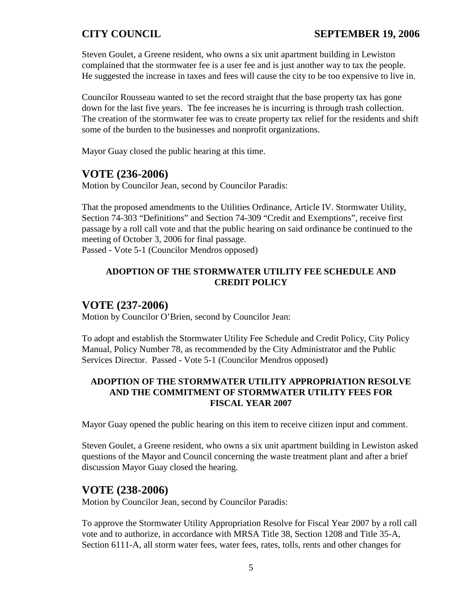Steven Goulet, a Greene resident, who owns a six unit apartment building in Lewiston complained that the stormwater fee is a user fee and is just another way to tax the people. He suggested the increase in taxes and fees will cause the city to be too expensive to live in.

Councilor Rousseau wanted to set the record straight that the base property tax has gone down for the last five years. The fee increases he is incurring is through trash collection. The creation of the stormwater fee was to create property tax relief for the residents and shift some of the burden to the businesses and nonprofit organizations.

Mayor Guay closed the public hearing at this time.

# **VOTE (236-2006)**

Motion by Councilor Jean, second by Councilor Paradis:

That the proposed amendments to the Utilities Ordinance, Article IV. Stormwater Utility, Section 74-303 "Definitions" and Section 74-309 "Credit and Exemptions", receive first passage by a roll call vote and that the public hearing on said ordinance be continued to the meeting of October 3, 2006 for final passage. Passed - Vote 5-1 (Councilor Mendros opposed)

## **ADOPTION OF THE STORMWATER UTILITY FEE SCHEDULE AND CREDIT POLICY**

## **VOTE (237-2006)**

Motion by Councilor O'Brien, second by Councilor Jean:

To adopt and establish the Stormwater Utility Fee Schedule and Credit Policy, City Policy Manual, Policy Number 78, as recommended by the City Administrator and the Public Services Director. Passed - Vote 5-1 (Councilor Mendros opposed)

## **ADOPTION OF THE STORMWATER UTILITY APPROPRIATION RESOLVE AND THE COMMITMENT OF STORMWATER UTILITY FEES FOR FISCAL YEAR 2007**

Mayor Guay opened the public hearing on this item to receive citizen input and comment.

Steven Goulet, a Greene resident, who owns a six unit apartment building in Lewiston asked questions of the Mayor and Council concerning the waste treatment plant and after a brief discussion Mayor Guay closed the hearing.

## **VOTE (238-2006)**

Motion by Councilor Jean, second by Councilor Paradis:

To approve the Stormwater Utility Appropriation Resolve for Fiscal Year 2007 by a roll call vote and to authorize, in accordance with MRSA Title 38, Section 1208 and Title 35-A, Section 6111-A, all storm water fees, water fees, rates, tolls, rents and other changes for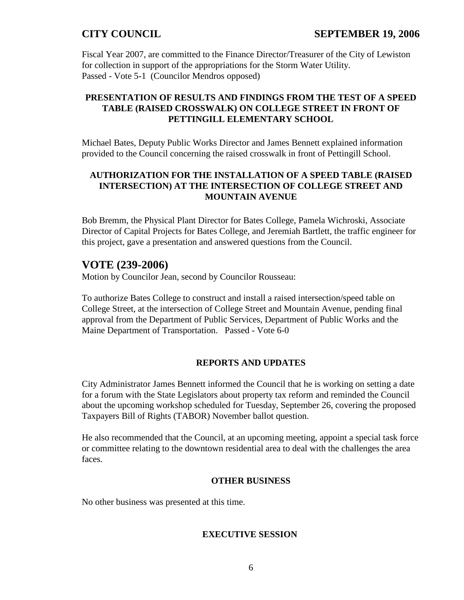Fiscal Year 2007, are committed to the Finance Director/Treasurer of the City of Lewiston for collection in support of the appropriations for the Storm Water Utility. Passed - Vote 5-1 (Councilor Mendros opposed)

## **PRESENTATION OF RESULTS AND FINDINGS FROM THE TEST OF A SPEED TABLE (RAISED CROSSWALK) ON COLLEGE STREET IN FRONT OF PETTINGILL ELEMENTARY SCHOOL**

Michael Bates, Deputy Public Works Director and James Bennett explained information provided to the Council concerning the raised crosswalk in front of Pettingill School.

## **AUTHORIZATION FOR THE INSTALLATION OF A SPEED TABLE (RAISED INTERSECTION) AT THE INTERSECTION OF COLLEGE STREET AND MOUNTAIN AVENUE**

Bob Bremm, the Physical Plant Director for Bates College, Pamela Wichroski, Associate Director of Capital Projects for Bates College, and Jeremiah Bartlett, the traffic engineer for this project, gave a presentation and answered questions from the Council.

# **VOTE (239-2006)**

Motion by Councilor Jean, second by Councilor Rousseau:

To authorize Bates College to construct and install a raised intersection/speed table on College Street, at the intersection of College Street and Mountain Avenue, pending final approval from the Department of Public Services, Department of Public Works and the Maine Department of Transportation. Passed - Vote 6-0

## **REPORTS AND UPDATES**

City Administrator James Bennett informed the Council that he is working on setting a date for a forum with the State Legislators about property tax reform and reminded the Council about the upcoming workshop scheduled for Tuesday, September 26, covering the proposed Taxpayers Bill of Rights (TABOR) November ballot question.

He also recommended that the Council, at an upcoming meeting, appoint a special task force or committee relating to the downtown residential area to deal with the challenges the area faces.

### **OTHER BUSINESS**

No other business was presented at this time.

### **EXECUTIVE SESSION**